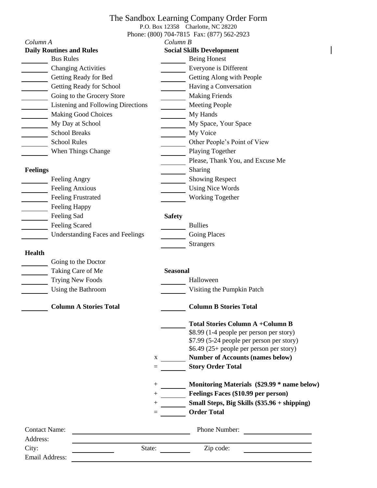|                                 |                                         |                               | The Sandbox Learning Company Order Form<br>P.O. Box 12358 Charlotte, NC 28220 |  |
|---------------------------------|-----------------------------------------|-------------------------------|-------------------------------------------------------------------------------|--|
|                                 |                                         |                               | Phone: (800) 704-7815 Fax: (877) 562-2923                                     |  |
| Column A                        |                                         |                               | Column B                                                                      |  |
| <b>Daily Routines and Rules</b> |                                         |                               | <b>Social Skills Development</b>                                              |  |
|                                 | <b>Bus Rules</b>                        |                               | <b>Being Honest</b>                                                           |  |
|                                 | <b>Changing Activities</b>              |                               | Everyone is Different                                                         |  |
|                                 | Getting Ready for Bed                   |                               | Getting Along with People                                                     |  |
|                                 | Getting Ready for School                |                               | Having a Conversation                                                         |  |
|                                 | Going to the Grocery Store              |                               | <b>Making Friends</b>                                                         |  |
|                                 | Listening and Following Directions      |                               | <b>Meeting People</b>                                                         |  |
|                                 | <b>Making Good Choices</b>              |                               | My Hands                                                                      |  |
|                                 | My Day at School                        |                               | My Space, Your Space                                                          |  |
|                                 | <b>School Breaks</b>                    |                               | My Voice                                                                      |  |
|                                 | <b>School Rules</b>                     |                               | Other People's Point of View                                                  |  |
|                                 | When Things Change                      |                               | <b>Playing Together</b>                                                       |  |
|                                 |                                         |                               | Please, Thank You, and Excuse Me                                              |  |
| <b>Feelings</b>                 |                                         |                               | Sharing                                                                       |  |
|                                 | Feeling Angry                           |                               | <b>Showing Respect</b>                                                        |  |
|                                 | <b>Feeling Anxious</b>                  |                               | <b>Using Nice Words</b>                                                       |  |
|                                 | <b>Feeling Frustrated</b>               |                               | <b>Working Together</b>                                                       |  |
|                                 | <b>Feeling Happy</b>                    |                               |                                                                               |  |
|                                 | Feeling Sad                             | <b>Safety</b>                 |                                                                               |  |
|                                 | <b>Feeling Scared</b>                   |                               | <b>Bullies</b>                                                                |  |
|                                 |                                         |                               |                                                                               |  |
|                                 | <b>Understanding Faces and Feelings</b> |                               | <b>Going Places</b>                                                           |  |
|                                 |                                         |                               | <b>Strangers</b>                                                              |  |
| <b>Health</b>                   |                                         |                               |                                                                               |  |
|                                 | Going to the Doctor                     |                               |                                                                               |  |
|                                 | Taking Care of Me                       | <b>Seasonal</b>               |                                                                               |  |
|                                 | <b>Trying New Foods</b>                 |                               | Halloween                                                                     |  |
|                                 | Using the Bathroom                      |                               | Visiting the Pumpkin Patch                                                    |  |
|                                 | <b>Column A Stories Total</b>           |                               | <b>Column B Stories Total</b>                                                 |  |
|                                 |                                         |                               | Total Stories Column A + Column B                                             |  |
|                                 |                                         |                               | \$8.99 (1-4 people per person per story)                                      |  |
|                                 |                                         |                               | \$7.99 (5-24 people per person per story)                                     |  |
|                                 |                                         |                               | \$6.49 (25+ people per person per story)                                      |  |
|                                 |                                         | $\mathbf X$                   | <b>Number of Accounts (names below)</b>                                       |  |
|                                 |                                         |                               | <b>Story Order Total</b>                                                      |  |
|                                 |                                         |                               | <b>Monitoring Materials (\$29.99 * name below)</b>                            |  |
|                                 |                                         |                               | Feelings Faces (\$10.99 per person)                                           |  |
|                                 |                                         |                               | Small Steps, Big Skills (\$35.96 + shipping)                                  |  |
|                                 |                                         |                               | <b>Order Total</b>                                                            |  |
|                                 |                                         |                               |                                                                               |  |
| <b>Contact Name:</b>            |                                         |                               | Phone Number:                                                                 |  |
| Address:                        |                                         |                               |                                                                               |  |
| City:                           |                                         | State: $\qquad \qquad \qquad$ | Zip code:<br><u> 1989 - Johann Barbara, martin amerikan basar da</u>          |  |
| Email Address:                  |                                         |                               |                                                                               |  |

 $\overline{\phantom{a}}$